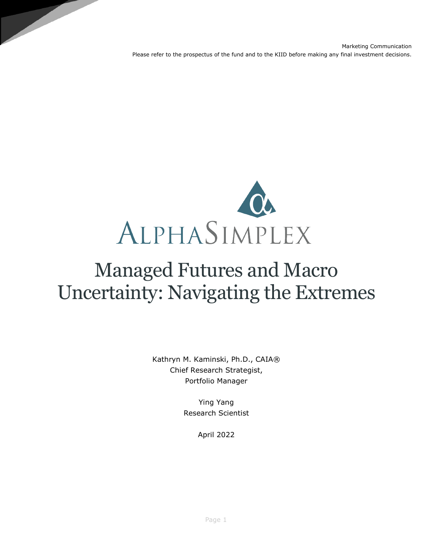

# Managed Futures and Macro Uncertainty: Navigating the Extremes

Kathryn M. Kaminski, Ph.D., CAIA® Chief Research Strategist, Portfolio Manager

> Ying Yang Research Scientist

> > April 2022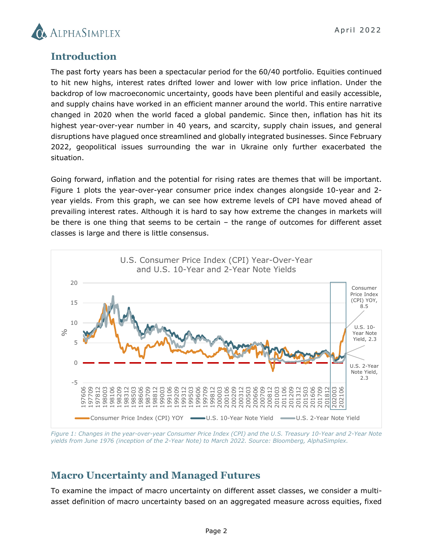

#### **Introduction**

The past forty years has been a spectacular period for the 60/40 portfolio. Equities continued to hit new highs, interest rates drifted lower and lower with low price inflation. Under the backdrop of low macroeconomic uncertainty, goods have been plentiful and easily accessible, and supply chains have worked in an efficient manner around the world. This entire narrative changed in 2020 when the world faced a global pandemic. Since then, inflation has hit its highest year-over-year number in 40 years, and scarcity, supply chain issues, and general disruptions have plagued once streamlined and globally integrated businesses. Since February 2022, geopolitical issues surrounding the war in Ukraine only further exacerbated the situation.

Going forward, inflation and the potential for rising rates are themes that will be important. Figure 1 plots the year-over-year consumer price index changes alongside 10-year and 2 year yields. From this graph, we can see how extreme levels of CPI have moved ahead of prevailing interest rates. Although it is hard to say how extreme the changes in markets will be there is one thing that seems to be certain – the range of outcomes for different asset classes is large and there is little consensus.



*Figure 1: Changes in the year-over-year Consumer Price Index (CPI) and the U.S. Treasury 10-Year and 2-Year Note yields from June 1976 (inception of the 2-Year Note) to March 2022. Source: Bloomberg, AlphaSimplex.* 

## **Macro Uncertainty and Managed Futures**

To examine the impact of macro uncertainty on different asset classes, we consider a multiasset definition of macro uncertainty based on an aggregated measure across equities, fixed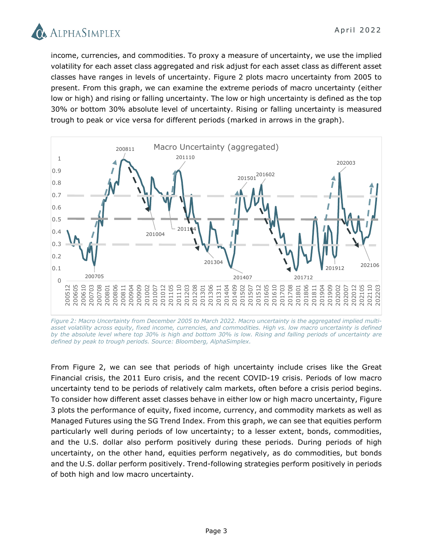

income, currencies, and commodities. To proxy a measure of uncertainty, we use the implied volatility for each asset class aggregated and risk adjust for each asset class as different asset classes have ranges in levels of uncertainty. Figure 2 plots macro uncertainty from 2005 to present. From this graph, we can examine the extreme periods of macro uncertainty (either low or high) and rising or falling uncertainty. The low or high uncertainty is defined as the top 30% or bottom 30% absolute level of uncertainty. Rising or falling uncertainty is measured trough to peak or vice versa for different periods (marked in arrows in the graph).



*Figure 2: Macro Uncertainty from December 2005 to March 2022. Macro uncertainty is the aggregated implied multi*asset volatility across equity, fixed income, currencies, and commodities. High vs. low macro uncertainty is defined *by the absolute level where top 30% is high and bottom 30% is low. Rising and falling periods of uncertainty are defined by peak to trough periods. Source: Bloomberg, AlphaSimplex.* 

From Figure 2, we can see that periods of high uncertainty include crises like the Great Financial crisis, the 2011 Euro crisis, and the recent COVID-19 crisis. Periods of low macro uncertainty tend to be periods of relatively calm markets, often before a crisis period begins. To consider how different asset classes behave in either low or high macro uncertainty, Figure 3 plots the performance of equity, fixed income, currency, and commodity markets as well as Managed Futures using the SG Trend Index. From this graph, we can see that equities perform particularly well during periods of low uncertainty; to a lesser extent, bonds, commodities, and the U.S. dollar also perform positively during these periods. During periods of high uncertainty, on the other hand, equities perform negatively, as do commodities, but bonds and the U.S. dollar perform positively. Trend-following strategies perform positively in periods of both high and low macro uncertainty.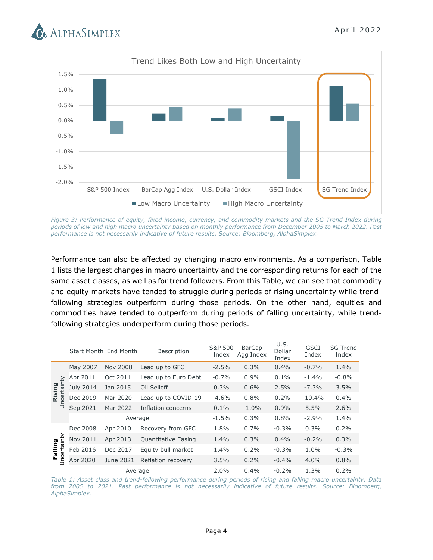



*Figure 3: Performance of equity, fixed-income, currency, and commodity markets and the SG Trend Index during periods of low and high macro uncertainty based on monthly performance from December 2005 to March 2022. Past performance is not necessarily indicative of future results. Source: Bloomberg, AlphaSimplex.*

Performance can also be affected by changing macro environments. As a comparison, Table 1 lists the largest changes in macro uncertainty and the corresponding returns for each of the same asset classes, as well as for trend followers. From this Table, we can see that commodity and equity markets have tended to struggle during periods of rising uncertainty while trendfollowing strategies outperform during those periods. On the other hand, equities and commodities have tended to outperform during periods of falling uncertainty, while trendfollowing strategies underperform during those periods.

|                               |           | Start Month End Month | Description          | S&P 500<br>Index | <b>BarCap</b><br>Agg Index | U.S.<br>Dollar<br>Index | <b>GSCI</b><br>Index | <b>SG Trend</b><br>Index |
|-------------------------------|-----------|-----------------------|----------------------|------------------|----------------------------|-------------------------|----------------------|--------------------------|
| Rising<br>Uncertainty         | May 2007  | <b>Nov 2008</b>       | Lead up to GFC       | $-2.5%$          | 0.3%                       | 0.4%                    | $-0.7%$              | 1.4%                     |
|                               | Apr 2011  | Oct 2011              | Lead up to Euro Debt | $-0.7%$          | 0.9%                       | 0.1%                    | $-1.4\%$             | $-0.8%$                  |
|                               | July 2014 | Jan 2015              | Oil Selloff          | 0.3%             | 0.6%                       | 2.5%                    | $-7.3%$              | 3.5%                     |
|                               | Dec 2019  | Mar 2020              | Lead up to COVID-19  | $-4.6%$          | 0.8%                       | 0.2%                    | $-10.4%$             | 0.4%                     |
|                               | Sep 2021  | Mar 2022              | Inflation concerns   | $0.1\%$          | $-1.0\%$                   | 0.9%                    | 5.5%                 | 2.6%                     |
|                               | Average   |                       |                      | $-1.5%$          | 0.3%                       | 0.8%                    | $-2.9%$              | 1.4%                     |
| <b>Jncertainty</b><br>Falling | Dec 2008  | Apr 2010              | Recovery from GFC    | 1.8%             | 0.7%                       | $-0.3%$                 | 0.3%                 | 0.2%                     |
|                               | Nov 2011  | Apr 2013              | Quantitative Easing  | 1.4%             | 0.3%                       | 0.4%                    | $-0.2%$              | 0.3%                     |
|                               | Feb 2016  | Dec 2017              | Equity bull market   | 1.4%             | 0.2%                       | $-0.3%$                 | 1.0%                 | $-0.3%$                  |
|                               | Apr 2020  | June 2021             | Reflation recovery   | 3.5%             | 0.2%                       | $-0.4%$                 | $4.0\%$              | 0.8%                     |
|                               | Average   |                       |                      | 2.0%             | 0.4%                       | $-0.2%$                 | 1.3%                 | 0.2%                     |

*Table 1: Asset class and trend-following performance during periods of rising and falling macro uncertainty. Data from 2005 to 2021. Past performance is not necessarily indicative of future results. Source: Bloomberg, AlphaSimplex.*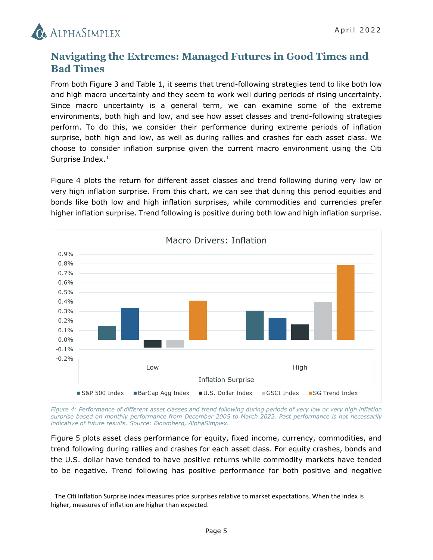

 $\overline{a}$ 

## **Navigating the Extremes: Managed Futures in Good Times and Bad Times**

From both Figure 3 and Table 1, it seems that trend-following strategies tend to like both low and high macro uncertainty and they seem to work well during periods of rising uncertainty. Since macro uncertainty is a general term, we can examine some of the extreme environments, both high and low, and see how asset classes and trend-following strategies perform. To do this, we consider their performance during extreme periods of inflation surprise, both high and low, as well as during rallies and crashes for each asset class. We choose to consider inflation surprise given the current macro environment using the Citi Surprise Index.<sup>[1](#page-4-0)</sup>

Figure 4 plots the return for different asset classes and trend following during very low or very high inflation surprise. From this chart, we can see that during this period equities and bonds like both low and high inflation surprises, while commodities and currencies prefer higher inflation surprise. Trend following is positive during both low and high inflation surprise.



*Figure 4: Performance of different asset classes and trend following during periods of very low or very high inflation surprise based on monthly performance from December 2005 to March 2022. Past performance is not necessarily indicative of future results. Source: Bloomberg, AlphaSimplex.*

Figure 5 plots asset class performance for equity, fixed income, currency, commodities, and trend following during rallies and crashes for each asset class. For equity crashes, bonds and the U.S. dollar have tended to have positive returns while commodity markets have tended to be negative. Trend following has positive performance for both positive and negative

<span id="page-4-0"></span><sup>&</sup>lt;sup>1</sup> The Citi Inflation Surprise index measures price surprises relative to market expectations. When the index is higher, measures of inflation are higher than expected.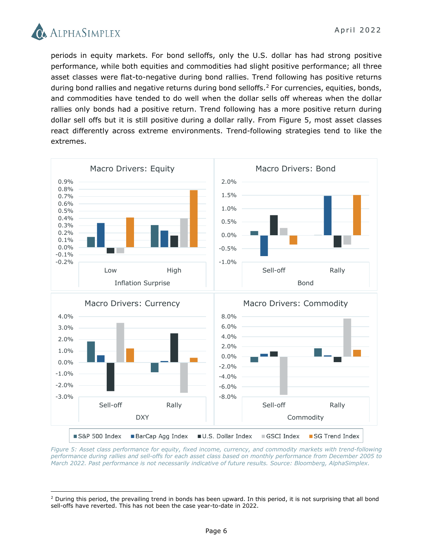

l

periods in equity markets. For bond selloffs, only the U.S. dollar has had strong positive performance, while both equities and commodities had slight positive performance; all three asset classes were flat-to-negative during bond rallies. Trend following has positive returns during bond rallies and negative returns during bond selloffs.<sup>[2](#page-5-0)</sup> For currencies, equities, bonds, and commodities have tended to do well when the dollar sells off whereas when the dollar rallies only bonds had a positive return. Trend following has a more positive return during dollar sell offs but it is still positive during a dollar rally. From Figure 5, most asset classes react differently across extreme environments. Trend-following strategies tend to like the extremes.



*Figure 5: Asset class performance for equity, fixed income, currency, and commodity markets with trend-following performance during rallies and sell-offs for each asset class based on monthly performance from December 2005 to March 2022. Past performance is not necessarily indicative of future results. Source: Bloomberg, AlphaSimplex.*

<span id="page-5-0"></span> $2$  During this period, the prevailing trend in bonds has been upward. In this period, it is not surprising that all bond sell-offs have reverted. This has not been the case year-to-date in 2022.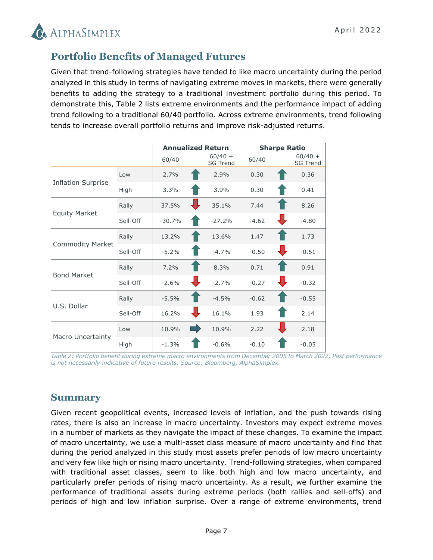

## **Portfolio Benefits of Managed Futures**

Given that trend-following strategies have tended to like macro uncertainty during the period analyzed in this study in terms of navigating extreme moves in markets, there were generally benefits to adding the strategy to a traditional investment portfolio during this period. To demonstrate this, Table 2 lists extreme environments and the performance impact of adding trend following to a traditional 60/40 portfolio. Across extreme environments, trend following tends to increase overall portfolio returns and improve risk-adjusted returns.

|                           |          |          | <b>Annualized Return</b>     | <b>Sharpe Ratio</b> |                              |  |
|---------------------------|----------|----------|------------------------------|---------------------|------------------------------|--|
|                           |          | 60/40    | $60/40 +$<br><b>SG Trend</b> | 60/40               | $60/40 +$<br><b>SG Trend</b> |  |
|                           | Low      | 2.7%     | 2.9%                         | 0.30                | 0.36                         |  |
| <b>Inflation Surprise</b> | High     | 3.3%     | 3.9%                         | 0.30                | 0.41                         |  |
|                           | Rally    | 37.5%    | 35.1%                        | 7.44                | 8.26                         |  |
| <b>Equity Market</b>      | Sell-Off | $-30.7%$ | $-27.2%$                     | $-4.62$             | $-4.80$                      |  |
|                           | Rally    | 13.2%    | 13.6%                        | 1.47                | 1.73                         |  |
| <b>Commodity Market</b>   | Sell-Off | $-5.2%$  | $-4.7%$                      | $-0.50$             | $-0.51$                      |  |
| <b>Bond Market</b>        | Rally    | 7.2%     | 8.3%                         | 0.71                | 0.91                         |  |
|                           | Sell-Off | $-2.6%$  | $-2.7%$                      | $-0.27$             | $-0.32$                      |  |
| U.S. Dollar               | Rally    | $-5.5%$  | $-4.5%$                      | $-0.62$             | $-0.55$                      |  |
|                           | Sell-Off | 16.2%    | 16.1%                        | 1.93                | 2.14                         |  |
|                           | Low      | 10.9%    | m.<br>10.9%                  | 2.22                | 2.18                         |  |
| Macro Uncertainty         | High     | $-1.3%$  | $-0.6%$                      | $-0.10$             | $-0.05$                      |  |

*Table 2: Portfolio benefit during extreme macro environments from December 2005 to March 2022. Past performance is not necessarily indicative of future results. Source: Bloomberg, AlphaSimplex.*

### **Summary**

Given recent geopolitical events, increased levels of inflation, and the push towards rising rates, there is also an increase in macro uncertainty. Investors may expect extreme moves in a number of markets as they navigate the impact of these changes. To examine the impact of macro uncertainty, we use a multi-asset class measure of macro uncertainty and find that during the period analyzed in this study most assets prefer periods of low macro uncertainty and very few like high or rising macro uncertainty. Trend-following strategies, when compared with traditional asset classes, seem to like both high and low macro uncertainty, and particularly prefer periods of rising macro uncertainty. As a result, we further examine the performance of traditional assets during extreme periods (both rallies and sell-offs) and periods of high and low inflation surprise. Over a range of extreme environments, trend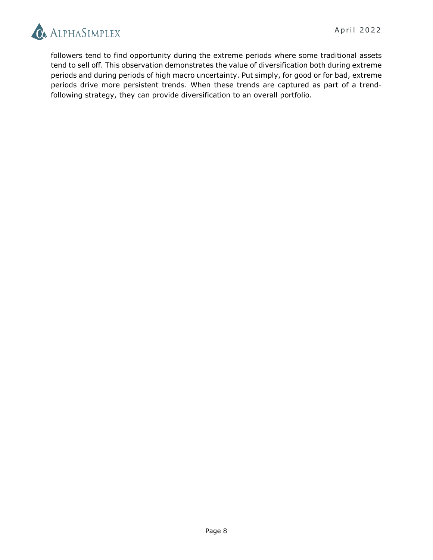

followers tend to find opportunity during the extreme periods where some traditional assets tend to sell off. This observation demonstrates the value of diversification both during extreme periods and during periods of high macro uncertainty. Put simply, for good or for bad, extreme periods drive more persistent trends. When these trends are captured as part of a trendfollowing strategy, they can provide diversification to an overall portfolio.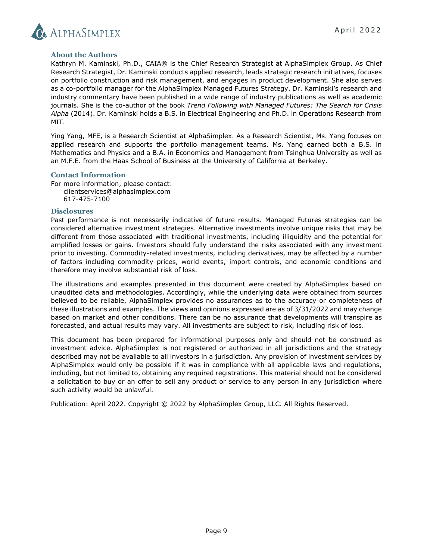

#### **About the Authors**

Kathryn M. Kaminski, Ph.D., CAIA® is the Chief Research Strategist at AlphaSimplex Group. As Chief Research Strategist, Dr. Kaminski conducts applied research, leads strategic research initiatives, focuses on portfolio construction and risk management, and engages in product development. She also serves as a co-portfolio manager for the AlphaSimplex Managed Futures Strategy. Dr. Kaminski's research and industry commentary have been published in a wide range of industry publications as well as academic journals. She is the co-author of the book *Trend Following with Managed Futures: The Search for Crisis Alpha* (2014). Dr. Kaminski holds a B.S. in Electrical Engineering and Ph.D. in Operations Research from MIT.

Ying Yang, MFE, is a Research Scientist at AlphaSimplex. As a Research Scientist, Ms. Yang focuses on applied research and supports the portfolio management teams. Ms. Yang earned both a B.S. in Mathematics and Physics and a B.A. in Economics and Management from Tsinghua University as well as an M.F.E. from the Haas School of Business at the University of California at Berkeley.

#### **Contact Information**

For more information, please contact: [clientservices@alphasimplex.com](mailto:clientservices@alphasimplex.com) 617-475-7100

#### **Disclosures**

Past performance is not necessarily indicative of future results. Managed Futures strategies can be considered alternative investment strategies. Alternative investments involve unique risks that may be different from those associated with traditional investments, including illiquidity and the potential for amplified losses or gains. Investors should fully understand the risks associated with any investment prior to investing. Commodity-related investments, including derivatives, may be affected by a number of factors including commodity prices, world events, import controls, and economic conditions and therefore may involve substantial risk of loss.

The illustrations and examples presented in this document were created by AlphaSimplex based on unaudited data and methodologies. Accordingly, while the underlying data were obtained from sources believed to be reliable, AlphaSimplex provides no assurances as to the accuracy or completeness of these illustrations and examples. The views and opinions expressed are as of 3/31/2022 and may change based on market and other conditions. There can be no assurance that developments will transpire as forecasted, and actual results may vary. All investments are subject to risk, including risk of loss.

This document has been prepared for informational purposes only and should not be construed as investment advice. AlphaSimplex is not registered or authorized in all jurisdictions and the strategy described may not be available to all investors in a jurisdiction. Any provision of investment services by AlphaSimplex would only be possible if it was in compliance with all applicable laws and regulations, including, but not limited to, obtaining any required registrations. This material should not be considered a solicitation to buy or an offer to sell any product or service to any person in any jurisdiction where such activity would be unlawful.

Publication: April 2022. Copyright © 2022 by AlphaSimplex Group, LLC. All Rights Reserved.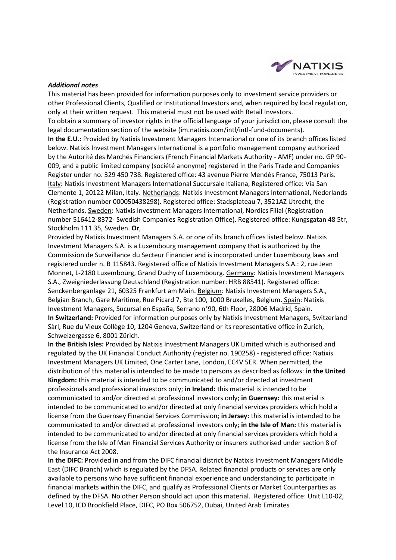

#### *Additional notes*

This material has been provided for information purposes only to investment service providers or other Professional Clients, Qualified or Institutional Investors and, when required by local regulation, only at their written request. This material must not be used with Retail Investors. To obtain a summary of investor rights in the official language of your jurisdiction, please consult the legal documentation section of the website (im.natixis.com/intl/intl-fund-documents). **In the E.U.:** Provided by Natixis Investment Managers International or one of its branch offices listed below. Natixis Investment Managers International is a portfolio management company authorized by the Autorité des Marchés Financiers (French Financial Markets Authority - AMF) under no. GP 90- 009, and a public limited company (société anonyme) registered in the Paris Trade and Companies Register under no. 329 450 738. Registered office: 43 avenue Pierre Mendès France, 75013 Paris. Italy: Natixis Investment Managers International Succursale Italiana, Registered office: Via San Clemente 1, 20122 Milan, Italy. Netherlands: Natixis Investment Managers International, Nederlands (Registration number 000050438298). Registered office: Stadsplateau 7, 3521AZ Utrecht, the Netherlands. Sweden: Natixis Investment Managers International, Nordics Filial (Registration

number 516412-8372- Swedish Companies Registration Office). Registered office: Kungsgatan 48 5tr, Stockholm 111 35, Sweden. **Or**,

Provided by Natixis Investment Managers S.A. or one of its branch offices listed below. Natixis Investment Managers S.A. is a Luxembourg management company that is authorized by the Commission de Surveillance du Secteur Financier and is incorporated under Luxembourg laws and registered under n. B 115843. Registered office of Natixis Investment Managers S.A.: 2, rue Jean Monnet, L-2180 Luxembourg, Grand Duchy of Luxembourg. Germany: Natixis Investment Managers S.A., Zweigniederlassung Deutschland (Registration number: HRB 88541). Registered office: Senckenberganlage 21, 60325 Frankfurt am Main. Belgium: Natixis Investment Managers S.A., Belgian Branch, Gare Maritime, Rue Picard 7, Bte 100, 1000 Bruxelles, Belgium. Spain: Natixis Investment Managers, Sucursal en España, Serrano n°90, 6th Floor, 28006 Madrid, Spain. **In Switzerland:** Provided for information purposes only by Natixis Investment Managers, Switzerland Sàrl, Rue du Vieux Collège 10, 1204 Geneva, Switzerland or its representative office in Zurich, Schweizergasse 6, 8001 Zürich.

**In the British Isles:** Provided by Natixis Investment Managers UK Limited which is authorised and regulated by the UK Financial Conduct Authority (register no. 190258) - registered office: Natixis Investment Managers UK Limited, One Carter Lane, London, EC4V 5ER. When permitted, the distribution of this material is intended to be made to persons as described as follows: **in the United Kingdom:** this material is intended to be communicated to and/or directed at investment professionals and professional investors only; **in Ireland:** this material is intended to be communicated to and/or directed at professional investors only; **in Guernsey:** this material is intended to be communicated to and/or directed at only financial services providers which hold a license from the Guernsey Financial Services Commission; **in Jersey:** this material is intended to be communicated to and/or directed at professional investors only; **in the Isle of Man:** this material is intended to be communicated to and/or directed at only financial services providers which hold a license from the Isle of Man Financial Services Authority or insurers authorised under section 8 of the Insurance Act 2008.

**In the DIFC:** Provided in and from the DIFC financial district by Natixis Investment Managers Middle East (DIFC Branch) which is regulated by the DFSA. Related financial products or services are only available to persons who have sufficient financial experience and understanding to participate in financial markets within the DIFC, and qualify as Professional Clients or Market Counterparties as defined by the DFSA. No other Person should act upon this material. Registered office: Unit L10-02, Level 10, ICD Brookfield Place, DIFC, PO Box 506752, Dubai, United Arab Emirates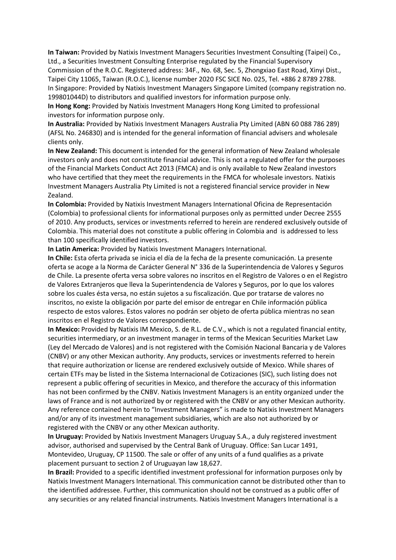**In Taiwan:** Provided by Natixis Investment Managers Securities Investment Consulting (Taipei) Co., Ltd., a Securities Investment Consulting Enterprise regulated by the Financial Supervisory Commission of the R.O.C. Registered address: 34F., No. 68, Sec. 5, Zhongxiao East Road, Xinyi Dist., Taipei City 11065, Taiwan (R.O.C.), license number 2020 FSC SICE No. 025, Tel. +886 2 8789 2788. In Singapore: Provided by Natixis Investment Managers Singapore Limited (company registration no. 199801044D) to distributors and qualified investors for information purpose only.

**In Hong Kong:** Provided by Natixis Investment Managers Hong Kong Limited to professional investors for information purpose only.

**In Australia:** Provided by Natixis Investment Managers Australia Pty Limited (ABN 60 088 786 289) (AFSL No. 246830) and is intended for the general information of financial advisers and wholesale clients only.

**In New Zealand:** This document is intended for the general information of New Zealand wholesale investors only and does not constitute financial advice. This is not a regulated offer for the purposes of the Financial Markets Conduct Act 2013 (FMCA) and is only available to New Zealand investors who have certified that they meet the requirements in the FMCA for wholesale investors. Natixis Investment Managers Australia Pty Limited is not a registered financial service provider in New Zealand.

**In Colombia:** Provided by Natixis Investment Managers International Oficina de Representación (Colombia) to professional clients for informational purposes only as permitted under Decree 2555 of 2010. Any products, services or investments referred to herein are rendered exclusively outside of Colombia. This material does not constitute a public offering in Colombia and is addressed to less than 100 specifically identified investors.

**In Latin America:** Provided by Natixis Investment Managers International.

**In Chile:** Esta oferta privada se inicia el día de la fecha de la presente comunicación. La presente oferta se acoge a la Norma de Carácter General N° 336 de la Superintendencia de Valores y Seguros de Chile. La presente oferta versa sobre valores no inscritos en el Registro de Valores o en el Registro de Valores Extranjeros que lleva la Superintendencia de Valores y Seguros, por lo que los valores sobre los cuales ésta versa, no están sujetos a su fiscalización. Que por tratarse de valores no inscritos, no existe la obligación por parte del emisor de entregar en Chile información pública respecto de estos valores. Estos valores no podrán ser objeto de oferta pública mientras no sean inscritos en el Registro de Valores correspondiente.

**In Mexico:** Provided by Natixis IM Mexico, S. de R.L. de C.V., which is not a regulated financial entity, securities intermediary, or an investment manager in terms of the Mexican Securities Market Law (Ley del Mercado de Valores) and is not registered with the Comisión Nacional Bancaria y de Valores (CNBV) or any other Mexican authority. Any products, services or investments referred to herein that require authorization or license are rendered exclusively outside of Mexico. While shares of certain ETFs may be listed in the Sistema Internacional de Cotizaciones (SIC), such listing does not represent a public offering of securities in Mexico, and therefore the accuracy of this information has not been confirmed by the CNBV. Natixis Investment Managers is an entity organized under the laws of France and is not authorized by or registered with the CNBV or any other Mexican authority. Any reference contained herein to "Investment Managers" is made to Natixis Investment Managers and/or any of its investment management subsidiaries, which are also not authorized by or registered with the CNBV or any other Mexican authority.

**In Uruguay:** Provided by Natixis Investment Managers Uruguay S.A., a duly registered investment advisor, authorised and supervised by the Central Bank of Uruguay. Office: San Lucar 1491, Montevideo, Uruguay, CP 11500. The sale or offer of any units of a fund qualifies as a private placement pursuant to section 2 of Uruguayan law 18,627.

**In Brazil:** Provided to a specific identified investment professional for information purposes only by Natixis Investment Managers International. This communication cannot be distributed other than to the identified addressee. Further, this communication should not be construed as a public offer of any securities or any related financial instruments. Natixis Investment Managers International is a